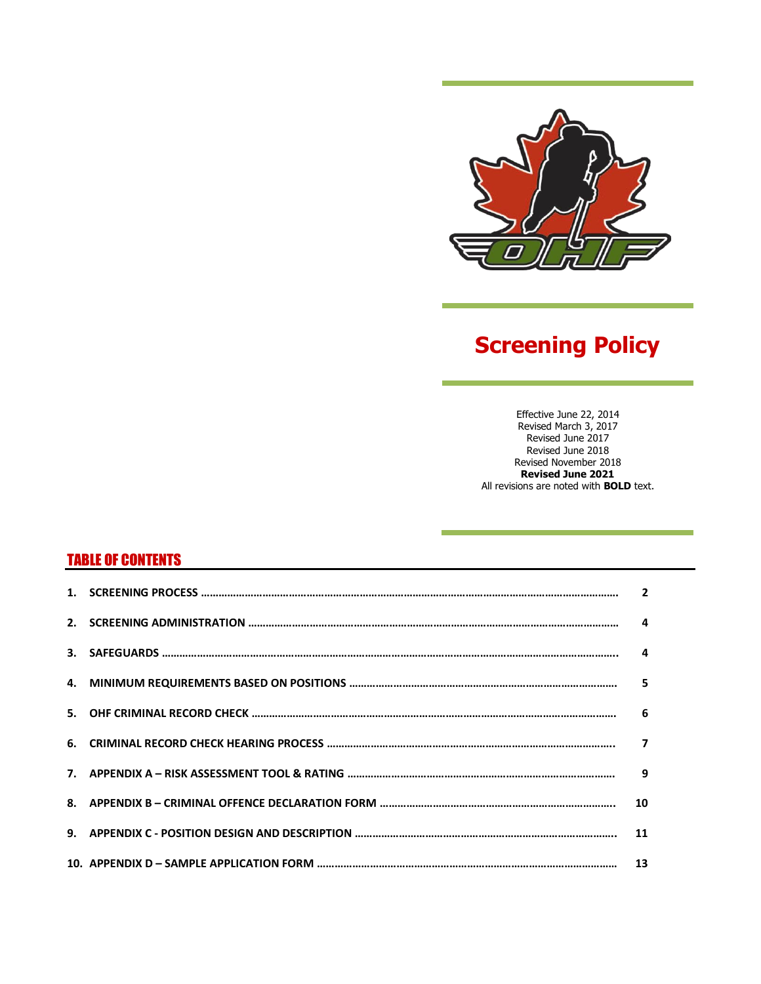

# **Screening Policy**

Effective June 22, 2014 Revised March 3, 2017 Revised June 2017 Revised June 2018 Revised November 2018 **Revised June 2021** All revisions are noted with **BOLD** text.

# TABLE OF CONTENTS

|  | 4                       |
|--|-------------------------|
|  | $\mathbf{a}$            |
|  | 5                       |
|  | 6                       |
|  | $\overline{\mathbf{z}}$ |
|  | 9                       |
|  | 10                      |
|  | 11                      |
|  |                         |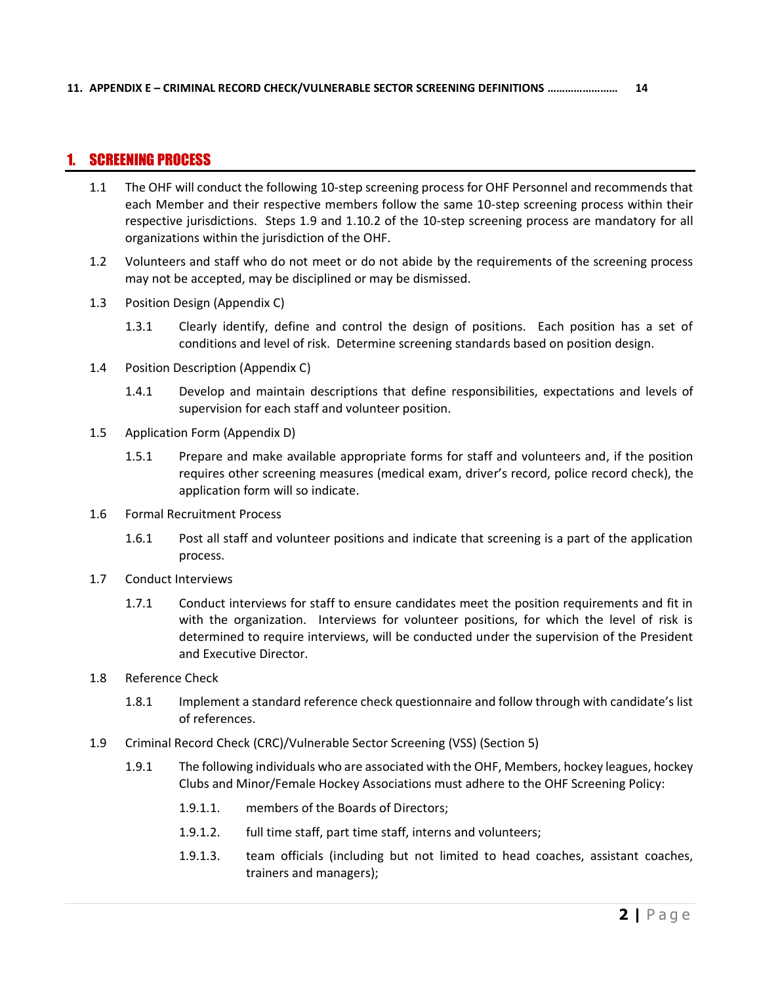### <span id="page-1-0"></span>1. SCREENING PROCESS

- 1.1 The OHF will conduct the following 10-step screening process for OHF Personnel and recommends that each Member and their respective members follow the same 10-step screening process within their respective jurisdictions. Steps 1.9 and 1.10.2 of the 10-step screening process are mandatory for all organizations within the jurisdiction of the OHF.
- 1.2 Volunteers and staff who do not meet or do not abide by the requirements of the screening process may not be accepted, may be disciplined or may be dismissed.
- 1.3 Position Design (Appendix C)
	- 1.3.1 Clearly identify, define and control the design of positions. Each position has a set of conditions and level of risk. Determine screening standards based on position design.
- 1.4 Position Description (Appendix C)
	- 1.4.1 Develop and maintain descriptions that define responsibilities, expectations and levels of supervision for each staff and volunteer position.
- 1.5 Application Form (Appendix D)
	- 1.5.1 Prepare and make available appropriate forms for staff and volunteers and, if the position requires other screening measures (medical exam, driver's record, police record check), the application form will so indicate.
- 1.6 Formal Recruitment Process
	- 1.6.1 Post all staff and volunteer positions and indicate that screening is a part of the application process.
- 1.7 Conduct Interviews
	- 1.7.1 Conduct interviews for staff to ensure candidates meet the position requirements and fit in with the organization. Interviews for volunteer positions, for which the level of risk is determined to require interviews, will be conducted under the supervision of the President and Executive Director.
- 1.8 Reference Check
	- 1.8.1 Implement a standard reference check questionnaire and follow through with candidate's list of references.
- 1.9 Criminal Record Check (CRC)/Vulnerable Sector Screening (VSS) (Section 5)
	- 1.9.1 The following individuals who are associated with the OHF, Members, hockey leagues, hockey Clubs and Minor/Female Hockey Associations must adhere to the OHF Screening Policy:
		- 1.9.1.1. members of the Boards of Directors;
		- 1.9.1.2. full time staff, part time staff, interns and volunteers;
		- 1.9.1.3. team officials (including but not limited to head coaches, assistant coaches, trainers and managers);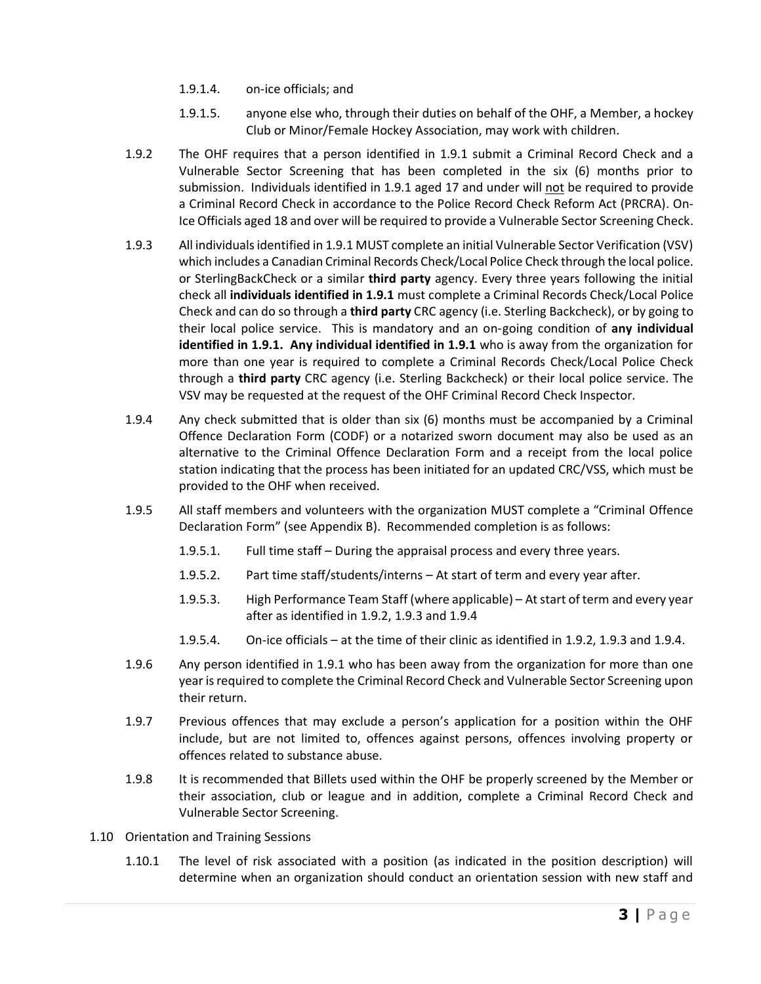- 1.9.1.4. on-ice officials; and
- 1.9.1.5. anyone else who, through their duties on behalf of the OHF, a Member, a hockey Club or Minor/Female Hockey Association, may work with children.
- 1.9.2 The OHF requires that a person identified in 1.9.1 submit a Criminal Record Check and a Vulnerable Sector Screening that has been completed in the six (6) months prior to submission. Individuals identified in 1.9.1 aged 17 and under will not be required to provide a Criminal Record Check in accordance to the Police Record Check Reform Act (PRCRA). On-Ice Officials aged 18 and over will be required to provide a Vulnerable Sector Screening Check.
- 1.9.3 All individuals identified in 1.9.1 MUST complete an initial Vulnerable Sector Verification (VSV) which includes a Canadian Criminal Records Check/Local Police Check through the local police. or SterlingBackCheck or a similar **third party** agency. Every three years following the initial check all **individuals identified in 1.9.1** must complete a Criminal Records Check/Local Police Check and can do so through a **third party** CRC agency (i.e. Sterling Backcheck), or by going to their local police service. This is mandatory and an on‐going condition of **any individual identified in 1.9.1. Any individual identified in 1.9.1** who is away from the organization for more than one year is required to complete a Criminal Records Check/Local Police Check through a **third party** CRC agency (i.e. Sterling Backcheck) or their local police service. The VSV may be requested at the request of the OHF Criminal Record Check Inspector.
- 1.9.4 Any check submitted that is older than six (6) months must be accompanied by a Criminal Offence Declaration Form (CODF) or a notarized sworn document may also be used as an alternative to the Criminal Offence Declaration Form and a receipt from the local police station indicating that the process has been initiated for an updated CRC/VSS, which must be provided to the OHF when received.
- 1.9.5 All staff members and volunteers with the organization MUST complete a "Criminal Offence Declaration Form" (see Appendix B). Recommended completion is as follows:
	- 1.9.5.1. Full time staff During the appraisal process and every three years.
	- 1.9.5.2. Part time staff/students/interns At start of term and every year after.
	- 1.9.5.3. High Performance Team Staff (where applicable) At start of term and every year after as identified in 1.9.2, 1.9.3 and 1.9.4
	- 1.9.5.4. On-ice officials at the time of their clinic as identified in 1.9.2, 1.9.3 and 1.9.4.
- 1.9.6 Any person identified in 1.9.1 who has been away from the organization for more than one year is required to complete the Criminal Record Check and Vulnerable Sector Screening upon their return.
- 1.9.7 Previous offences that may exclude a person's application for a position within the OHF include, but are not limited to, offences against persons, offences involving property or offences related to substance abuse.
- 1.9.8 It is recommended that Billets used within the OHF be properly screened by the Member or their association, club or league and in addition, complete a Criminal Record Check and Vulnerable Sector Screening.
- 1.10 Orientation and Training Sessions
	- 1.10.1 The level of risk associated with a position (as indicated in the position description) will determine when an organization should conduct an orientation session with new staff and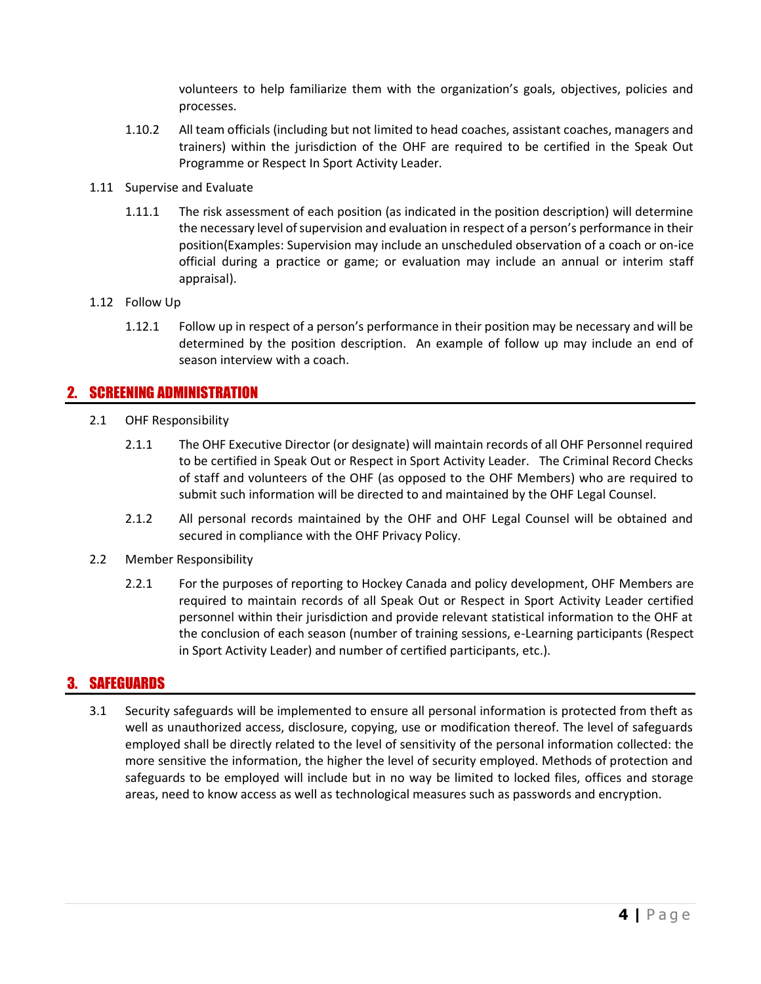volunteers to help familiarize them with the organization's goals, objectives, policies and processes.

- 1.10.2 All team officials (including but not limited to head coaches, assistant coaches, managers and trainers) within the jurisdiction of the OHF are required to be certified in the Speak Out Programme or Respect In Sport Activity Leader.
- 1.11 Supervise and Evaluate
	- 1.11.1 The risk assessment of each position (as indicated in the position description) will determine the necessary level of supervision and evaluation in respect of a person's performance in their position(Examples: Supervision may include an unscheduled observation of a coach or on-ice official during a practice or game; or evaluation may include an annual or interim staff appraisal).
- 1.12 Follow Up
	- 1.12.1 Follow up in respect of a person's performance in their position may be necessary and will be determined by the position description. An example of follow up may include an end of season interview with a coach.

### <span id="page-3-0"></span>2. SCREENING ADMINISTRATION

- 2.1 OHF Responsibility
	- 2.1.1 The OHF Executive Director (or designate) will maintain records of all OHF Personnel required to be certified in Speak Out or Respect in Sport Activity Leader. The Criminal Record Checks of staff and volunteers of the OHF (as opposed to the OHF Members) who are required to submit such information will be directed to and maintained by the OHF Legal Counsel.
	- 2.1.2 All personal records maintained by the OHF and OHF Legal Counsel will be obtained and secured in compliance with the OHF Privacy Policy.
- 2.2 Member Responsibility
	- 2.2.1 For the purposes of reporting to Hockey Canada and policy development, OHF Members are required to maintain records of all Speak Out or Respect in Sport Activity Leader certified personnel within their jurisdiction and provide relevant statistical information to the OHF at the conclusion of each season (number of training sessions, e-Learning participants (Respect in Sport Activity Leader) and number of certified participants, etc.).

### <span id="page-3-1"></span>3. SAFEGUARDS

3.1 Security safeguards will be implemented to ensure all personal information is protected from theft as well as unauthorized access, disclosure, copying, use or modification thereof. The level of safeguards employed shall be directly related to the level of sensitivity of the personal information collected: the more sensitive the information, the higher the level of security employed. Methods of protection and safeguards to be employed will include but in no way be limited to locked files, offices and storage areas, need to know access as well as technological measures such as passwords and encryption.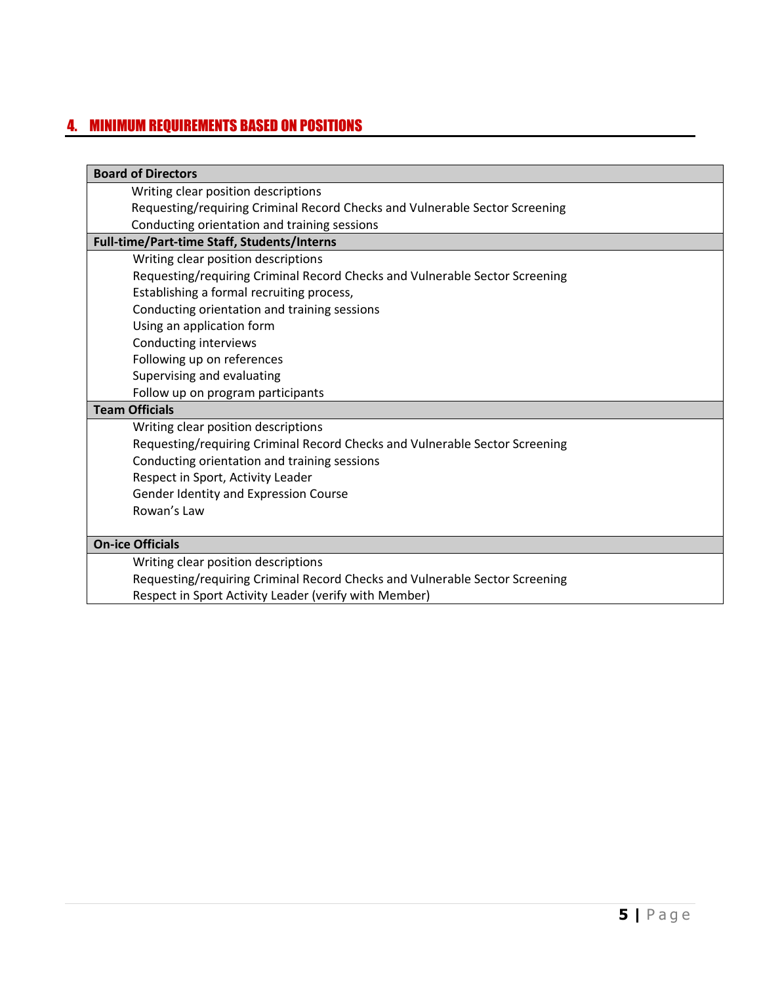## <span id="page-4-0"></span>4. MINIMUM REQUIREMENTS BASED ON POSITIONS

| <b>Board of Directors</b>                                                   |
|-----------------------------------------------------------------------------|
| Writing clear position descriptions                                         |
| Requesting/requiring Criminal Record Checks and Vulnerable Sector Screening |
| Conducting orientation and training sessions                                |
| Full-time/Part-time Staff, Students/Interns                                 |
| Writing clear position descriptions                                         |
| Requesting/requiring Criminal Record Checks and Vulnerable Sector Screening |
| Establishing a formal recruiting process,                                   |
| Conducting orientation and training sessions                                |
| Using an application form                                                   |
| Conducting interviews                                                       |
| Following up on references                                                  |
| Supervising and evaluating                                                  |
| Follow up on program participants                                           |
| <b>Team Officials</b>                                                       |
| Writing clear position descriptions                                         |
| Requesting/requiring Criminal Record Checks and Vulnerable Sector Screening |
| Conducting orientation and training sessions                                |
| Respect in Sport, Activity Leader                                           |
| Gender Identity and Expression Course                                       |
| Rowan's Law                                                                 |
|                                                                             |
| <b>On-ice Officials</b>                                                     |
| Writing clear position descriptions                                         |
| Requesting/requiring Criminal Record Checks and Vulnerable Sector Screening |
| Respect in Sport Activity Leader (verify with Member)                       |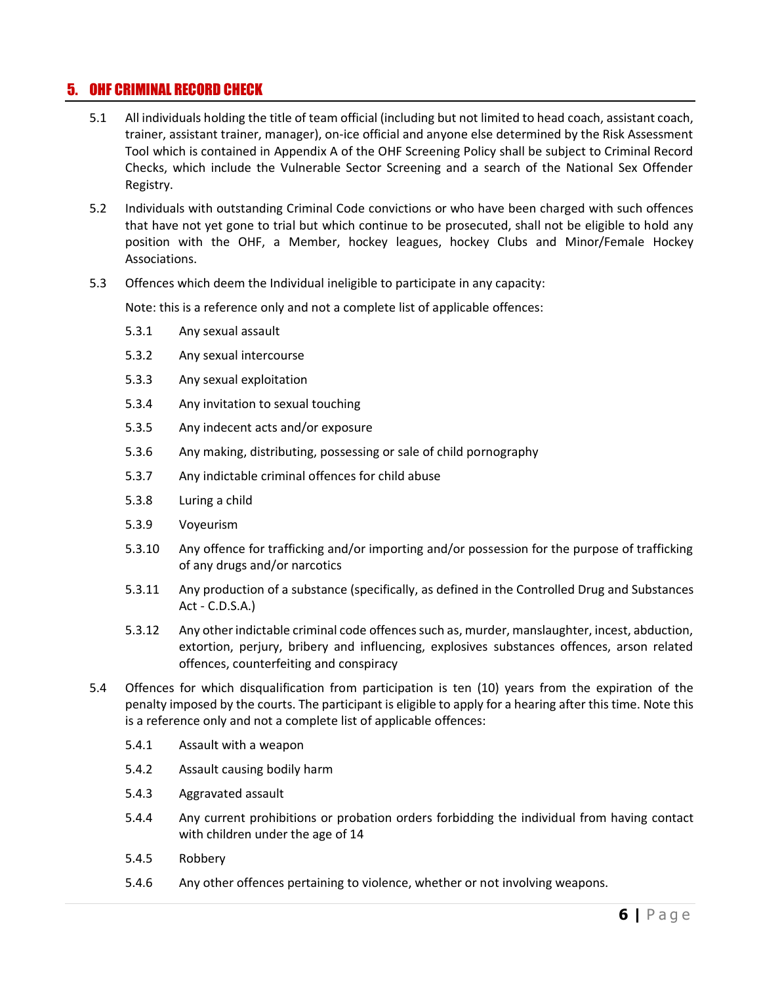### <span id="page-5-0"></span>5. OHF CRIMINAL RECORD CHECK

- 5.1 All individuals holding the title of team official (including but not limited to head coach, assistant coach, trainer, assistant trainer, manager), on-ice official and anyone else determined by the Risk Assessment Tool which is contained in Appendix A of the OHF Screening Policy shall be subject to Criminal Record Checks, which include the Vulnerable Sector Screening and a search of the National Sex Offender Registry.
- 5.2 Individuals with outstanding Criminal Code convictions or who have been charged with such offences that have not yet gone to trial but which continue to be prosecuted, shall not be eligible to hold any position with the OHF, a Member, hockey leagues, hockey Clubs and Minor/Female Hockey Associations.
- 5.3 Offences which deem the Individual ineligible to participate in any capacity:

Note: this is a reference only and not a complete list of applicable offences:

- 5.3.1 Any sexual assault
- 5.3.2 Any sexual intercourse
- 5.3.3 Any sexual exploitation
- 5.3.4 Any invitation to sexual touching
- 5.3.5 Any indecent acts and/or exposure
- 5.3.6 Any making, distributing, possessing or sale of child pornography
- 5.3.7 Any indictable criminal offences for child abuse
- 5.3.8 Luring a child
- 5.3.9 Voyeurism
- 5.3.10 Any offence for trafficking and/or importing and/or possession for the purpose of trafficking of any drugs and/or narcotics
- 5.3.11 Any production of a substance (specifically, as defined in the Controlled Drug and Substances Act - C.D.S.A.)
- 5.3.12 Any other indictable criminal code offences such as, murder, manslaughter, incest, abduction, extortion, perjury, bribery and influencing, explosives substances offences, arson related offences, counterfeiting and conspiracy
- 5.4 Offences for which disqualification from participation is ten (10) years from the expiration of the penalty imposed by the courts. The participant is eligible to apply for a hearing after this time. Note this is a reference only and not a complete list of applicable offences:
	- 5.4.1 Assault with a weapon
	- 5.4.2 Assault causing bodily harm
	- 5.4.3 Aggravated assault
	- 5.4.4 Any current prohibitions or probation orders forbidding the individual from having contact with children under the age of 14
	- 5.4.5 Robbery
	- 5.4.6 Any other offences pertaining to violence, whether or not involving weapons.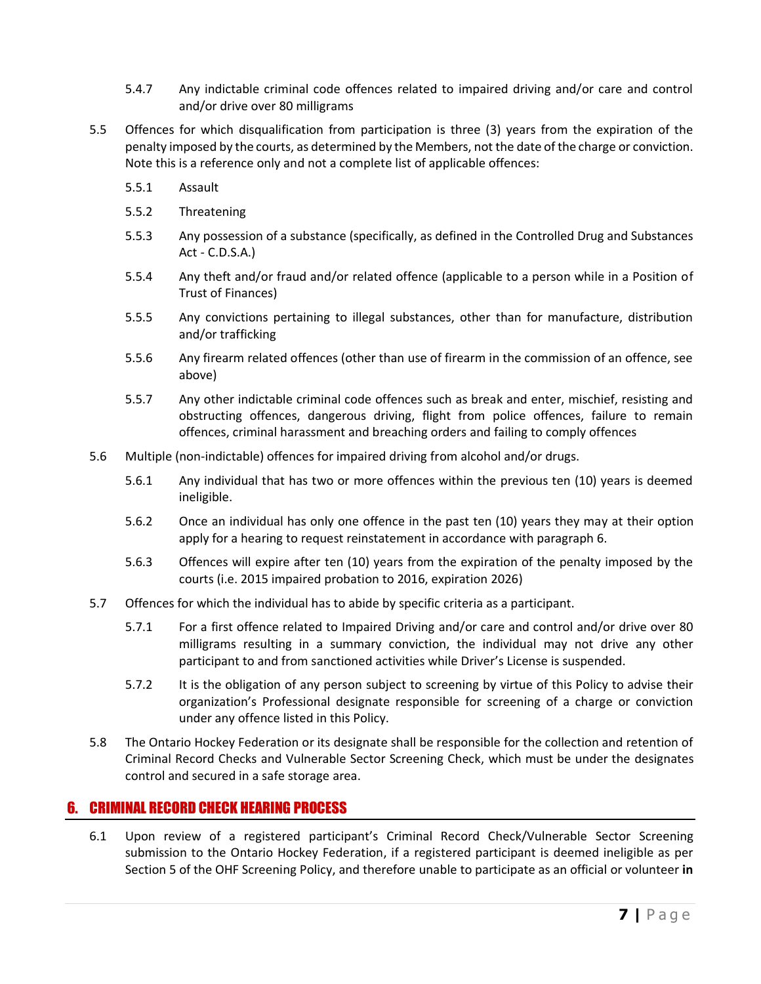- 5.4.7 Any indictable criminal code offences related to impaired driving and/or care and control and/or drive over 80 milligrams
- 5.5 Offences for which disqualification from participation is three (3) years from the expiration of the penalty imposed by the courts, as determined by the Members, not the date of the charge or conviction. Note this is a reference only and not a complete list of applicable offences:
	- 5.5.1 Assault
	- 5.5.2 Threatening
	- 5.5.3 Any possession of a substance (specifically, as defined in the Controlled Drug and Substances Act - C.D.S.A.)
	- 5.5.4 Any theft and/or fraud and/or related offence (applicable to a person while in a Position of Trust of Finances)
	- 5.5.5 Any convictions pertaining to illegal substances, other than for manufacture, distribution and/or trafficking
	- 5.5.6 Any firearm related offences (other than use of firearm in the commission of an offence, see above)
	- 5.5.7 Any other indictable criminal code offences such as break and enter, mischief, resisting and obstructing offences, dangerous driving, flight from police offences, failure to remain offences, criminal harassment and breaching orders and failing to comply offences
- 5.6 Multiple (non-indictable) offences for impaired driving from alcohol and/or drugs.
	- 5.6.1 Any individual that has two or more offences within the previous ten (10) years is deemed ineligible.
	- 5.6.2 Once an individual has only one offence in the past ten (10) years they may at their option apply for a hearing to request reinstatement in accordance with paragraph 6.
	- 5.6.3 Offences will expire after ten (10) years from the expiration of the penalty imposed by the courts (i.e. 2015 impaired probation to 2016, expiration 2026)
- 5.7 Offences for which the individual has to abide by specific criteria as a participant.
	- 5.7.1 For a first offence related to Impaired Driving and/or care and control and/or drive over 80 milligrams resulting in a summary conviction, the individual may not drive any other participant to and from sanctioned activities while Driver's License is suspended.
	- 5.7.2 It is the obligation of any person subject to screening by virtue of this Policy to advise their organization's Professional designate responsible for screening of a charge or conviction under any offence listed in this Policy.
- 5.8 The Ontario Hockey Federation or its designate shall be responsible for the collection and retention of Criminal Record Checks and Vulnerable Sector Screening Check, which must be under the designates control and secured in a safe storage area.

### <span id="page-6-0"></span>6. CRIMINAL RECORD CHECK HEARING PROCESS

6.1 Upon review of a registered participant's Criminal Record Check/Vulnerable Sector Screening submission to the Ontario Hockey Federation, if a registered participant is deemed ineligible as per Section 5 of the OHF Screening Policy, and therefore unable to participate as an official or volunteer **in**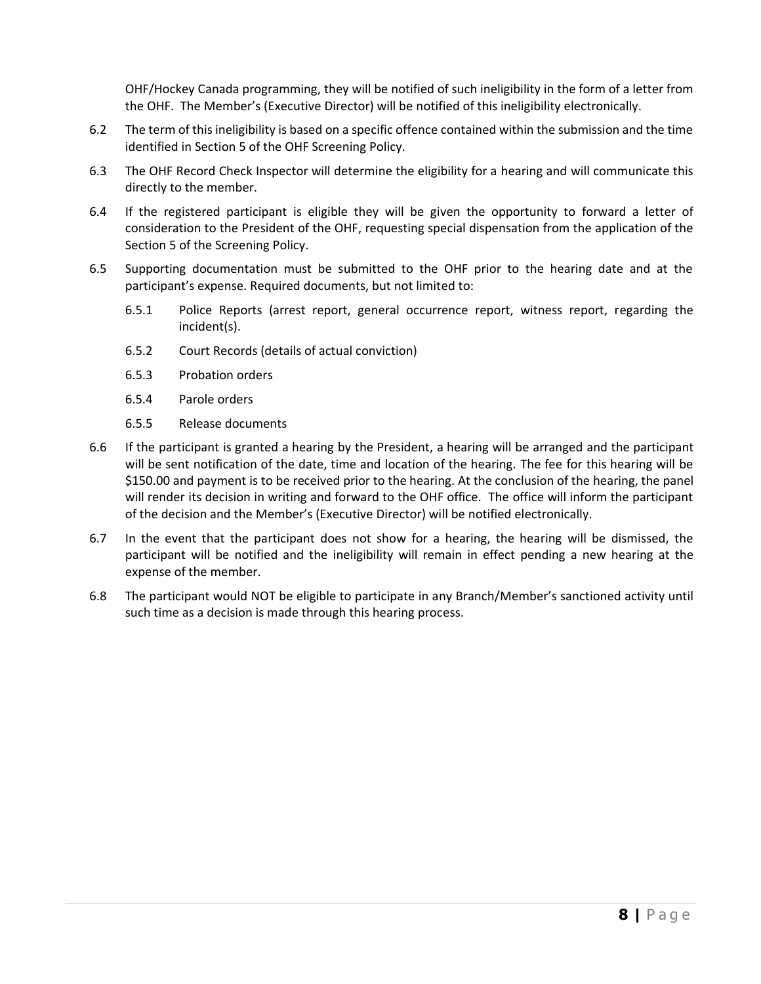OHF/Hockey Canada programming, they will be notified of such ineligibility in the form of a letter from the OHF. The Member's (Executive Director) will be notified of this ineligibility electronically.

- 6.2 The term of this ineligibility is based on a specific offence contained within the submission and the time identified in Section 5 of the OHF Screening Policy.
- 6.3 The OHF Record Check Inspector will determine the eligibility for a hearing and will communicate this directly to the member.
- 6.4 If the registered participant is eligible they will be given the opportunity to forward a letter of consideration to the President of the OHF, requesting special dispensation from the application of the Section 5 of the Screening Policy.
- 6.5 Supporting documentation must be submitted to the OHF prior to the hearing date and at the participant's expense. Required documents, but not limited to:
	- 6.5.1 Police Reports (arrest report, general occurrence report, witness report, regarding the incident(s).
	- 6.5.2 Court Records (details of actual conviction)
	- 6.5.3 Probation orders
	- 6.5.4 Parole orders
	- 6.5.5 Release documents
- 6.6 If the participant is granted a hearing by the President, a hearing will be arranged and the participant will be sent notification of the date, time and location of the hearing. The fee for this hearing will be \$150.00 and payment is to be received prior to the hearing. At the conclusion of the hearing, the panel will render its decision in writing and forward to the OHF office. The office will inform the participant of the decision and the Member's (Executive Director) will be notified electronically.
- 6.7 In the event that the participant does not show for a hearing, the hearing will be dismissed, the participant will be notified and the ineligibility will remain in effect pending a new hearing at the expense of the member.
- 6.8 The participant would NOT be eligible to participate in any Branch/Member's sanctioned activity until such time as a decision is made through this hearing process.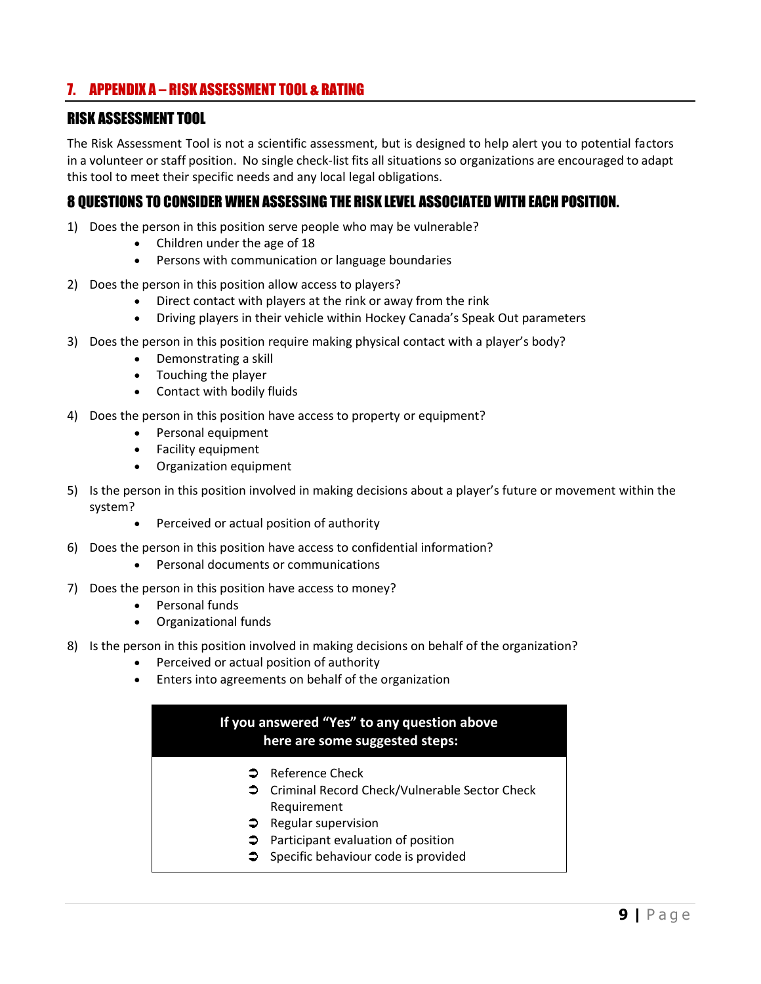## <span id="page-8-0"></span>7. APPENDIX A – RISK ASSESSMENT TOOL & RATING

### RISK ASSESSMENT TOOL

The Risk Assessment Tool is not a scientific assessment, but is designed to help alert you to potential factors in a volunteer or staff position. No single check-list fits all situations so organizations are encouraged to adapt this tool to meet their specific needs and any local legal obligations.

### 8 QUESTIONS TO CONSIDER WHEN ASSESSING THE RISK LEVEL ASSOCIATED WITH EACH POSITION.

- 1) Does the person in this position serve people who may be vulnerable?
	- Children under the age of 18
	- Persons with communication or language boundaries
- 2) Does the person in this position allow access to players?
	- Direct contact with players at the rink or away from the rink
	- Driving players in their vehicle within Hockey Canada's Speak Out parameters
- 3) Does the person in this position require making physical contact with a player's body?
	- Demonstrating a skill
	- Touching the player
	- Contact with bodily fluids
- 4) Does the person in this position have access to property or equipment?
	- Personal equipment
	- Facility equipment
	- Organization equipment
- 5) Is the person in this position involved in making decisions about a player's future or movement within the system?
	- Perceived or actual position of authority
- 6) Does the person in this position have access to confidential information?
	- Personal documents or communications
- 7) Does the person in this position have access to money?
	- Personal funds
	- Organizational funds
- 8) Is the person in this position involved in making decisions on behalf of the organization?
	- Perceived or actual position of authority
	- Enters into agreements on behalf of the organization

### **If you answered "Yes" to any question above here are some suggested steps:**

- **●** Reference Check
- **→** Criminal Record Check/Vulnerable Sector Check Requirement
- $\supset$  Regular supervision
- **Participant evaluation of position**
- $\supset$  Specific behaviour code is provided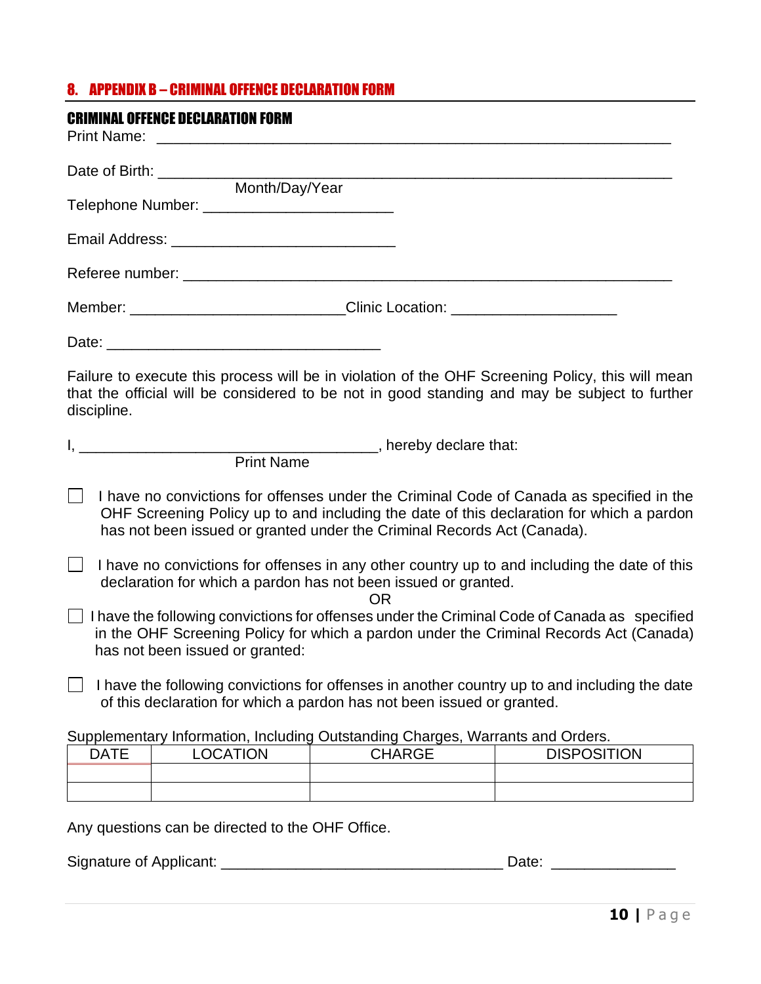# <span id="page-9-0"></span>8. APPENDIX B – CRIMINAL OFFENCE DECLARATION FORM

| <b>CRIMINAL OFFENCE DECLARATION FORM</b>                                                                                                                                                                                                                        |               |                    |
|-----------------------------------------------------------------------------------------------------------------------------------------------------------------------------------------------------------------------------------------------------------------|---------------|--------------------|
|                                                                                                                                                                                                                                                                 |               |                    |
| Month/Day/Year                                                                                                                                                                                                                                                  |               |                    |
|                                                                                                                                                                                                                                                                 |               |                    |
|                                                                                                                                                                                                                                                                 |               |                    |
| Member: ________________________________Clinic Location: _______________________                                                                                                                                                                                |               |                    |
|                                                                                                                                                                                                                                                                 |               |                    |
| Failure to execute this process will be in violation of the OHF Screening Policy, this will mean<br>that the official will be considered to be not in good standing and may be subject to further<br>discipline.                                                |               |                    |
|                                                                                                                                                                                                                                                                 |               |                    |
| <b>Print Name</b>                                                                                                                                                                                                                                               |               |                    |
| I have no convictions for offenses under the Criminal Code of Canada as specified in the<br>OHF Screening Policy up to and including the date of this declaration for which a pardon<br>has not been issued or granted under the Criminal Records Act (Canada). |               |                    |
| I have no convictions for offenses in any other country up to and including the date of this<br>declaration for which a pardon has not been issued or granted.                                                                                                  | <b>OR</b>     |                    |
| $\Box$ I have the following convictions for offenses under the Criminal Code of Canada as specified<br>in the OHF Screening Policy for which a pardon under the Criminal Records Act (Canada)<br>has not been issued or granted:                                |               |                    |
| I have the following convictions for offenses in another country up to and including the date<br>of this declaration for which a pardon has not been issued or granted.                                                                                         |               |                    |
| Supplementary Information, Including Outstanding Charges, Warrants and Orders.                                                                                                                                                                                  |               |                    |
| <b>LOCATION</b><br><b>DATE</b>                                                                                                                                                                                                                                  | <b>CHARGE</b> | <b>DISPOSITION</b> |
|                                                                                                                                                                                                                                                                 |               |                    |
| Any questions can be directed to the OHF Office.                                                                                                                                                                                                                |               |                    |
| Signature of Applicant:                                                                                                                                                                                                                                         |               | Date:              |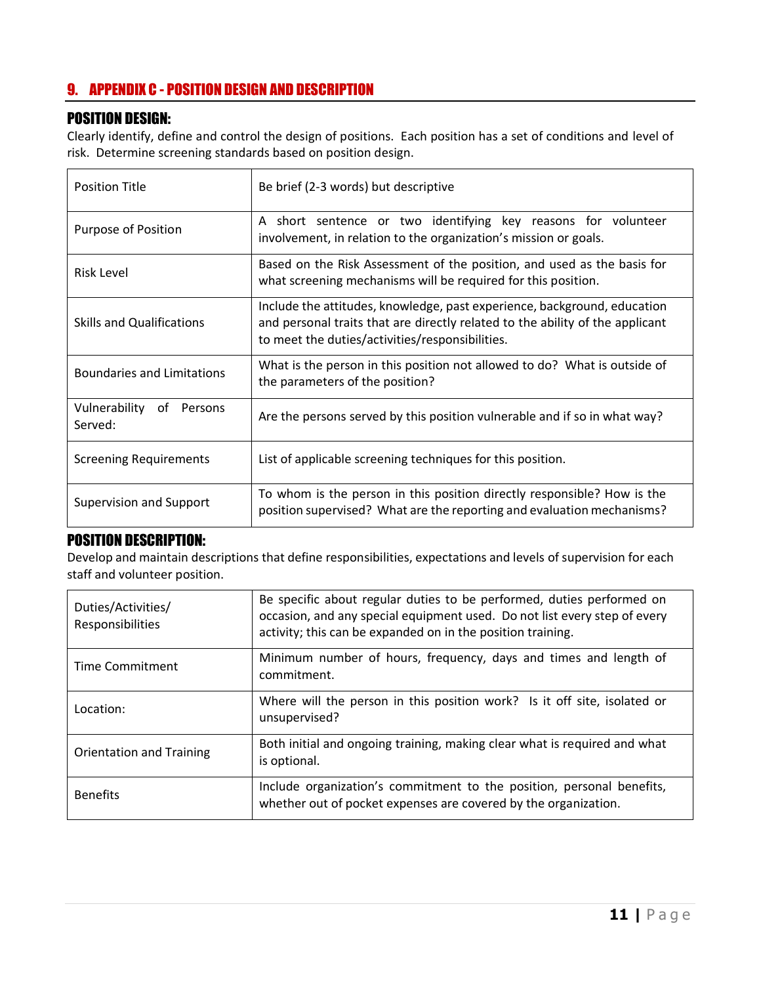## <span id="page-10-0"></span>9. APPENDIX C - POSITION DESIGN AND DESCRIPTION

### POSITION DESIGN:

Clearly identify, define and control the design of positions. Each position has a set of conditions and level of risk. Determine screening standards based on position design.

| <b>Position Title</b>                  | Be brief (2-3 words) but descriptive                                                                                                                                                                         |  |  |  |
|----------------------------------------|--------------------------------------------------------------------------------------------------------------------------------------------------------------------------------------------------------------|--|--|--|
| Purpose of Position                    | A short sentence or two identifying key reasons for volunteer<br>involvement, in relation to the organization's mission or goals.                                                                            |  |  |  |
| Risk Level                             | Based on the Risk Assessment of the position, and used as the basis for<br>what screening mechanisms will be required for this position.                                                                     |  |  |  |
| <b>Skills and Qualifications</b>       | Include the attitudes, knowledge, past experience, background, education<br>and personal traits that are directly related to the ability of the applicant<br>to meet the duties/activities/responsibilities. |  |  |  |
| <b>Boundaries and Limitations</b>      | What is the person in this position not allowed to do? What is outside of<br>the parameters of the position?                                                                                                 |  |  |  |
| Vulnerability<br>of Persons<br>Served: | Are the persons served by this position vulnerable and if so in what way?                                                                                                                                    |  |  |  |
| Screening Requirements                 | List of applicable screening techniques for this position.                                                                                                                                                   |  |  |  |
| Supervision and Support                | To whom is the person in this position directly responsible? How is the<br>position supervised? What are the reporting and evaluation mechanisms?                                                            |  |  |  |

### POSITION DESCRIPTION:

Develop and maintain descriptions that define responsibilities, expectations and levels of supervision for each staff and volunteer position.

| Duties/Activities/<br>Responsibilities | Be specific about regular duties to be performed, duties performed on<br>occasion, and any special equipment used. Do not list every step of every<br>activity; this can be expanded on in the position training. |  |  |
|----------------------------------------|-------------------------------------------------------------------------------------------------------------------------------------------------------------------------------------------------------------------|--|--|
| Time Commitment                        | Minimum number of hours, frequency, days and times and length of<br>commitment.                                                                                                                                   |  |  |
| Location:                              | Where will the person in this position work? Is it off site, isolated or<br>unsupervised?                                                                                                                         |  |  |
| Orientation and Training               | Both initial and ongoing training, making clear what is required and what<br>is optional.                                                                                                                         |  |  |
| <b>Benefits</b>                        | Include organization's commitment to the position, personal benefits,<br>whether out of pocket expenses are covered by the organization.                                                                          |  |  |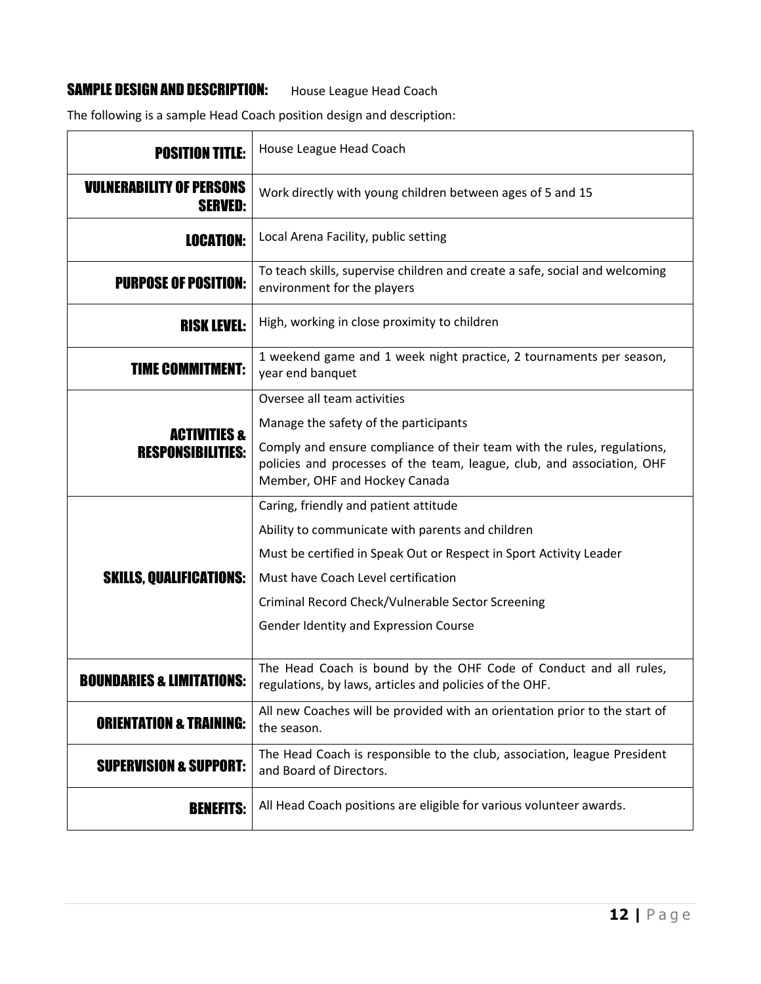## SAMPLE DESIGN AND DESCRIPTION: House League Head Coach

The following is a sample Head Coach position design and description:

| <b>POSITION TITLE:</b>                              | House League Head Coach                                                                                                                                                                                                                                                                              |
|-----------------------------------------------------|------------------------------------------------------------------------------------------------------------------------------------------------------------------------------------------------------------------------------------------------------------------------------------------------------|
| <b>VULNERABILITY OF PERSONS</b><br><b>SERVED:</b>   | Work directly with young children between ages of 5 and 15                                                                                                                                                                                                                                           |
| <b>LOCATION:</b>                                    | Local Arena Facility, public setting                                                                                                                                                                                                                                                                 |
| <b>PURPOSE OF POSITION:</b>                         | To teach skills, supervise children and create a safe, social and welcoming<br>environment for the players                                                                                                                                                                                           |
| <b>RISK LEVEL:</b>                                  | High, working in close proximity to children                                                                                                                                                                                                                                                         |
| <b>TIME COMMITMENT:</b>                             | 1 weekend game and 1 week night practice, 2 tournaments per season,<br>year end banquet                                                                                                                                                                                                              |
| <b>ACTIVITIES &amp;</b><br><b>RESPONSIBILITIES:</b> | Oversee all team activities<br>Manage the safety of the participants<br>Comply and ensure compliance of their team with the rules, regulations,<br>policies and processes of the team, league, club, and association, OHF<br>Member, OHF and Hockey Canada                                           |
| <b>SKILLS, QUALIFICATIONS:</b>                      | Caring, friendly and patient attitude<br>Ability to communicate with parents and children<br>Must be certified in Speak Out or Respect in Sport Activity Leader<br>Must have Coach Level certification<br>Criminal Record Check/Vulnerable Sector Screening<br>Gender Identity and Expression Course |
| <b>BOUNDARIES &amp; LIMITATIONS:</b>                | The Head Coach is bound by the OHF Code of Conduct and all rules,<br>regulations, by laws, articles and policies of the OHF.                                                                                                                                                                         |
| <b>ORIENTATION &amp; TRAINING:</b>                  | All new Coaches will be provided with an orientation prior to the start of<br>the season.                                                                                                                                                                                                            |
| <b>SUPERVISION &amp; SUPPORT:</b>                   | The Head Coach is responsible to the club, association, league President<br>and Board of Directors.                                                                                                                                                                                                  |
| <b>BENEFITS:</b>                                    | All Head Coach positions are eligible for various volunteer awards.                                                                                                                                                                                                                                  |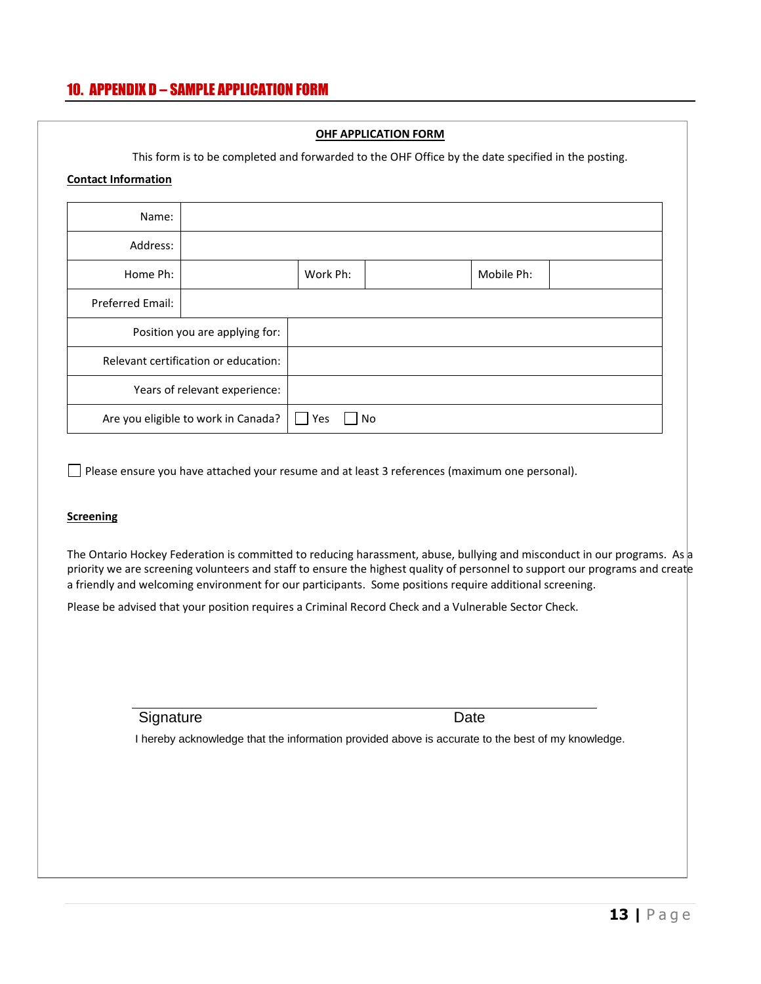## <span id="page-12-0"></span>10. APPENDIX D – SAMPLE APPLICATION FORM

### **OHF APPLICATION FORM**

This form is to be completed and forwarded to the OHF Office by the date specified in the posting.

#### **Contact Information**

| Name:                                |  |                      |            |  |
|--------------------------------------|--|----------------------|------------|--|
| Address:                             |  |                      |            |  |
| Home Ph:                             |  | Work Ph:             | Mobile Ph: |  |
| Preferred Email:                     |  |                      |            |  |
| Position you are applying for:       |  |                      |            |  |
| Relevant certification or education: |  |                      |            |  |
| Years of relevant experience:        |  |                      |            |  |
| Are you eligible to work in Canada?  |  | Yes<br>No<br>$\perp$ |            |  |

Please ensure you have attached your resume and at least 3 references (maximum one personal).

#### **Screening**

The Ontario Hockey Federation is committed to reducing harassment, abuse, bullying and misconduct in our programs. As a priority we are screening volunteers and staff to ensure the highest quality of personnel to support our programs and create a friendly and welcoming environment for our participants. Some positions require additional screening.

Please be advised that your position requires a Criminal Record Check and a Vulnerable Sector Check.

Signature Date

I hereby acknowledge that the information provided above is accurate to the best of my knowledge.